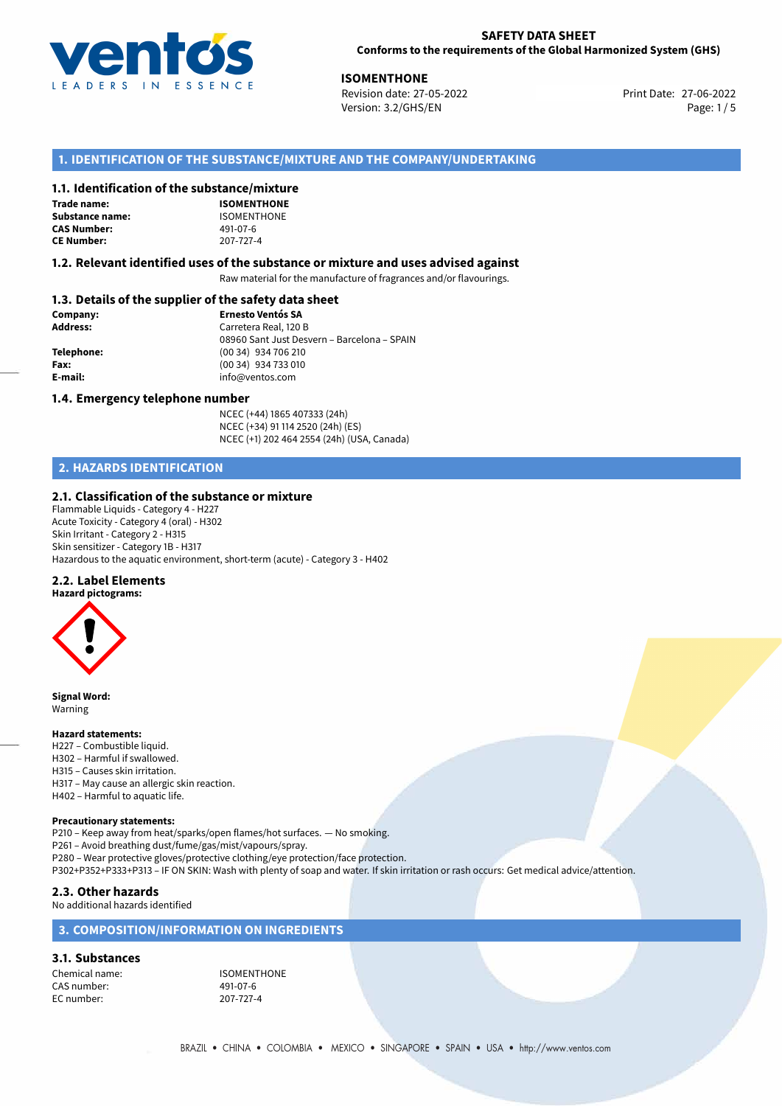

27-06-2022 **ISOMENTHONE** Revision date: 27-05-2022 Version: 3.2/GHS/EN Page: 1/5

## **1. IDENTIFICATION OF THE SUBSTANCE/MIXTURE AND THE COMPANY/UNDERTAKING**

### **1.1. Identification of the substance/mixture**

**Trade name: Substance name:** ISOMENTHONE<br> **CAS Number:** 491-07-6 **CAS Number: CE Number:** 207-727-4

**ISOMENTHONE**

#### **1.2. Relevant identified uses of the substance or mixture and uses advised against**

Raw material for the manufacture of fragrances and/or flavourings.

## **1.3. Details of the supplier of the safety data sheet**

| Company:        | <b>Ernesto Ventós SA</b>                    |
|-----------------|---------------------------------------------|
| <b>Address:</b> | Carretera Real, 120 B                       |
|                 | 08960 Sant Just Desvern - Barcelona - SPAIN |
| Telephone:      | (00 34) 934 706 210                         |
| Fax:            | (00 34) 934 733 010                         |
| E-mail:         | info@ventos.com                             |
|                 |                                             |

#### **1.4. Emergency telephone number**

NCEC (+44) 1865 407333 (24h) NCEC (+34) 91 114 2520 (24h) (ES) NCEC (+1) 202 464 2554 (24h) (USA, Canada)

## **2. HAZARDS IDENTIFICATION**

#### **2.1. Classification of the substance or mixture**

Flammable Liquids - Category 4 - H227 Acute Toxicity - Category 4 (oral) - H302 Skin Irritant - Category 2 - H315 Skin sensitizer - Category 1B - H317 Hazardous to the aquatic environment, short-term (acute) - Category 3 - H402

#### **2.2. Label Elements**



**Signal Word:** Warning

#### **Hazard statements:**

H227 – Combustible liquid. H302 – Harmful if swallowed. H315 – Causes skin irritation. H317 – May cause an allergic skin reaction. H402 – Harmful to aquatic life.

#### **Precautionary statements:**

P210 – Keep away from heat/sparks/open flames/hot surfaces. — No smoking. P261 – Avoid breathing dust/fume/gas/mist/vapours/spray. P280 – Wear protective gloves/protective clothing/eye protection/face protection. P302+P352+P333+P313 – IF ON SKIN: Wash with plenty of soap and water. If skin irritation or rash occurs: Get medical advice/attention.

## **2.3. Other hazards**

No additional hazards identified

## **3. COMPOSITION/INFORMATION ON INGREDIENTS**

## **3.1. Substances**

Chemical name: ISOMENTHONE CAS number: 491-07-6 EC number: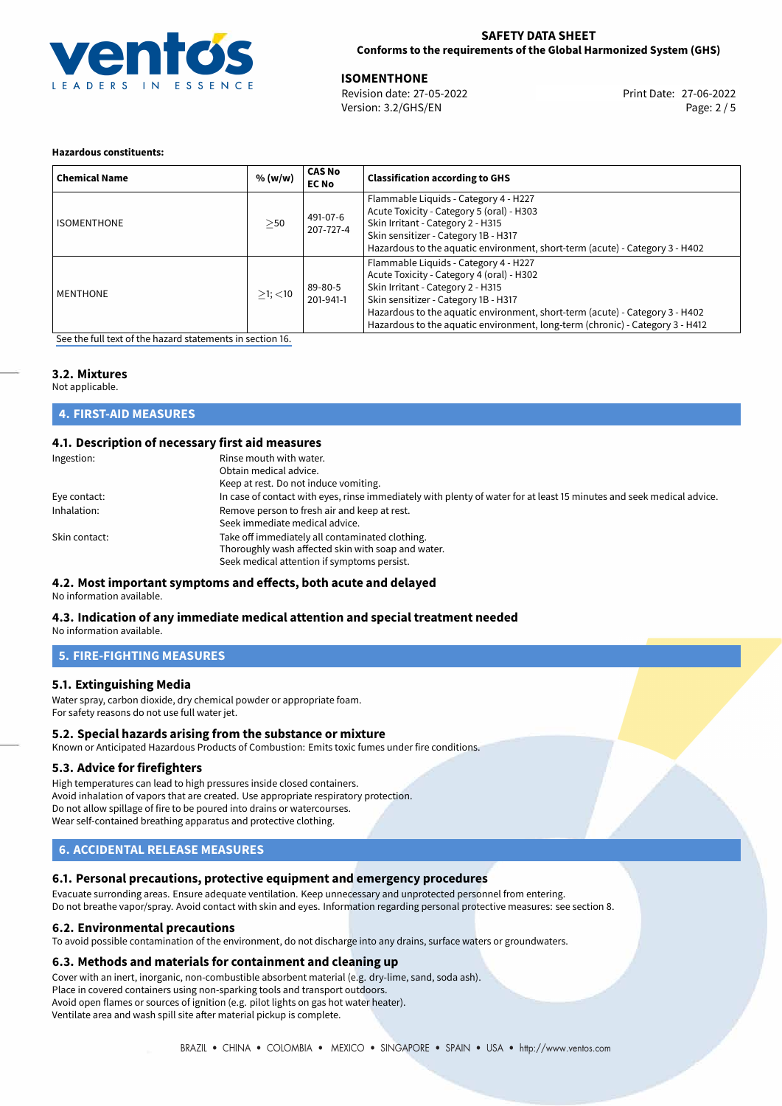

27-06-2022 **ISOMENTHONE** Revision date: 27-05-2022 Print Date:

Version: 3.2/GHS/EN Page: 2 / 5

#### **Hazardous constituents:**

| <b>Chemical Name</b> | % (w/w)       | <b>CAS No</b><br><b>EC No</b> | <b>Classification according to GHS</b>                                                                                                                                                                                                                                                                                           |
|----------------------|---------------|-------------------------------|----------------------------------------------------------------------------------------------------------------------------------------------------------------------------------------------------------------------------------------------------------------------------------------------------------------------------------|
| <b>ISOMENTHONE</b>   | >50           | 491-07-6<br>207-727-4         | Flammable Liquids - Category 4 - H227<br>Acute Toxicity - Category 5 (oral) - H303<br>Skin Irritant - Category 2 - H315<br>Skin sensitizer - Category 1B - H317<br>Hazardous to the aquatic environment, short-term (acute) - Category 3 - H402                                                                                  |
| <b>MENTHONE</b>      | $>1$ ; $<$ 10 | 89-80-5<br>201-941-1          | Flammable Liquids - Category 4 - H227<br>Acute Toxicity - Category 4 (oral) - H302<br>Skin Irritant - Category 2 - H315<br>Skin sensitizer - Category 1B - H317<br>Hazardous to the aquatic environment, short-term (acute) - Category 3 - H402<br>Hazardous to the aquatic environment, long-term (chronic) - Category 3 - H412 |

[See the full text of the hazard statements in section 16.](#page-4-0)

## **3.2. Mixtures**

Not applicable.

**4. FIRST-AID MEASURES**

## **4.1. Description of necessary first aid measures**

| Ingestion:    | Rinse mouth with water.<br>Obtain medical advice.<br>Keep at rest. Do not induce vomiting.                                                           |
|---------------|------------------------------------------------------------------------------------------------------------------------------------------------------|
| Eye contact:  | In case of contact with eyes, rinse immediately with plenty of water for at least 15 minutes and seek medical advice.                                |
| Inhalation:   | Remove person to fresh air and keep at rest.<br>Seek immediate medical advice.                                                                       |
| Skin contact: | Take off immediately all contaminated clothing.<br>Thoroughly wash affected skin with soap and water.<br>Seek medical attention if symptoms persist. |

#### **4.2. Most important symptoms and effects, both acute and delayed** No information available.

## **4.3. Indication of any immediate medical attention and special treatment needed**

No information available.

## **5. FIRE-FIGHTING MEASURES**

### **5.1. Extinguishing Media**

Water spray, carbon dioxide, dry chemical powder or appropriate foam. For safety reasons do not use full water jet.

### **5.2. Special hazards arising from the substance or mixture**

Known or Anticipated Hazardous Products of Combustion: Emits toxic fumes under fire conditions.

### **5.3. Advice for firefighters**

High temperatures can lead to high pressures inside closed containers. Avoid inhalation of vapors that are created. Use appropriate respiratory protection. Do not allow spillage of fire to be poured into drains or watercourses. Wear self-contained breathing apparatus and protective clothing.

## **6. ACCIDENTAL RELEASE MEASURES**

## **6.1. Personal precautions, protective equipment and emergency procedures**

Evacuate surronding areas. Ensure adequate ventilation. Keep unnecessary and unprotected personnel from entering. Do not breathe vapor/spray. Avoid contact with skin and eyes. Information regarding personal protective measures: see section 8.

### **6.2. Environmental precautions**

To avoid possible contamination of the environment, do not discharge into any drains, surface waters or groundwaters.

### **6.3. Methods and materials for containment and cleaning up**

Cover with an inert, inorganic, non-combustible absorbent material (e.g. dry-lime, sand, soda ash).

Place in covered containers using non-sparking tools and transport outdoors.

Avoid open flames or sources of ignition (e.g. pilot lights on gas hot water heater).

Ventilate area and wash spill site after material pickup is complete.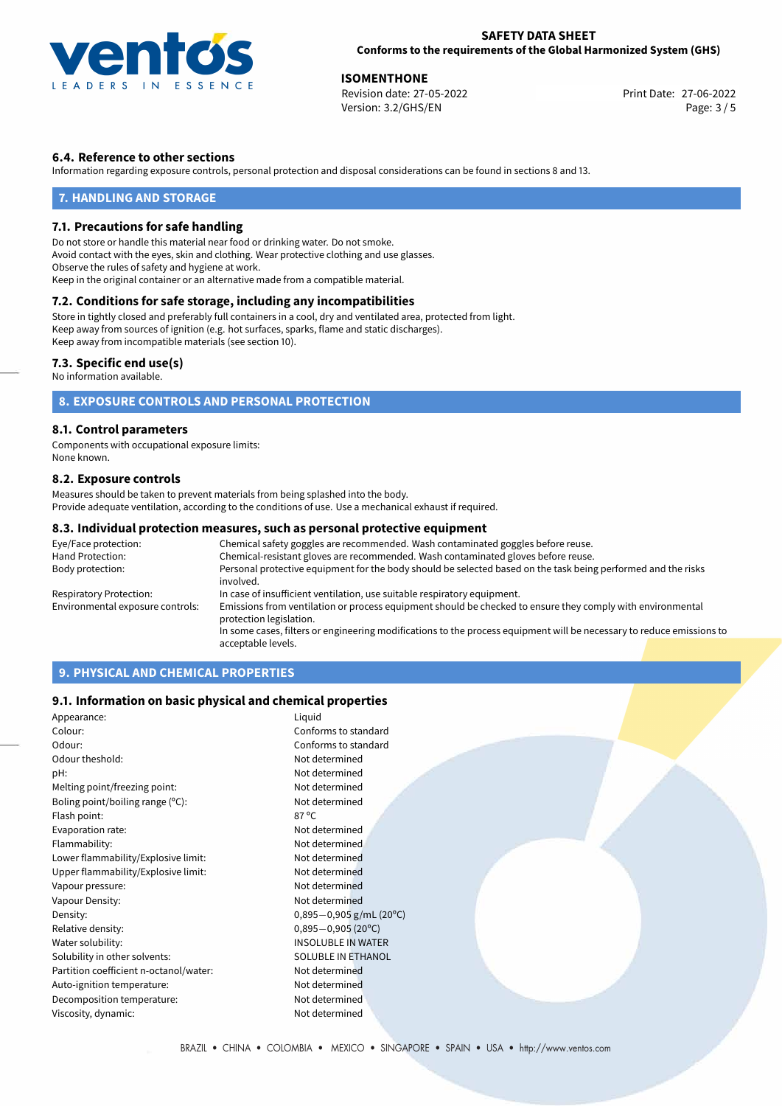

27-06-2022 **ISOMENTHONE** Revision date: 27-05-2022 Print Date: Version: 3.2/GHS/EN Page: 3 / 5

## **6.4. Reference to other sections**

Information regarding exposure controls, personal protection and disposal considerations can be found in sections 8 and 13.

### **7. HANDLING AND STORAGE**

#### **7.1. Precautions for safe handling**

Do not store or handle this material near food or drinking water. Do not smoke. Avoid contact with the eyes, skin and clothing. Wear protective clothing and use glasses. Observe the rules of safety and hygiene at work. Keep in the original container or an alternative made from a compatible material.

## **7.2. Conditions for safe storage, including any incompatibilities**

Store in tightly closed and preferably full containers in a cool, dry and ventilated area, protected from light. Keep away from sources of ignition (e.g. hot surfaces, sparks, flame and static discharges). Keep away from incompatible materials (see section 10).

#### **7.3. Specific end use(s)**

No information available.

## **8. EXPOSURE CONTROLS AND PERSONAL PROTECTION**

#### **8.1. Control parameters**

Components with occupational exposure limits: None known.

#### **8.2. Exposure controls**

Measures should be taken to prevent materials from being splashed into the body. Provide adequate ventilation, according to the conditions of use. Use a mechanical exhaust if required.

#### **8.3. Individual protection measures, such as personal protective equipment**

| Eye/Face protection:             | Chemical safety goggles are recommended. Wash contaminated goggles before reuse.                                                      |  |  |
|----------------------------------|---------------------------------------------------------------------------------------------------------------------------------------|--|--|
| Hand Protection:                 | Chemical-resistant gloves are recommended. Wash contaminated gloves before reuse.                                                     |  |  |
| Body protection:                 | Personal protective equipment for the body should be selected based on the task being performed and the risks<br>involved.            |  |  |
| Respiratory Protection:          | In case of insufficient ventilation, use suitable respiratory equipment.                                                              |  |  |
| Environmental exposure controls: | Emissions from ventilation or process equipment should be checked to ensure they comply with environmental<br>protection legislation. |  |  |
|                                  | In some cases, filters or engineering modifications to the process equipment will be necessary to reduce emissions to                 |  |  |
|                                  | acceptable levels.                                                                                                                    |  |  |

## **9. PHYSICAL AND CHEMICAL PROPERTIES**

#### **9.1. Information on basic physical and chemical properties**

| Appearance:                            | Liquid                       |
|----------------------------------------|------------------------------|
| Colour:                                | Conforms to standard         |
| Odour:                                 | Conforms to standard         |
| Odour theshold:                        | Not determined               |
| pH:                                    | Not determined               |
| Melting point/freezing point:          | Not determined               |
| Boling point/boiling range (°C):       | Not determined               |
| Flash point:                           | $87^{\circ}$ C               |
| Evaporation rate:                      | Not determined               |
| Flammability:                          | Not determined               |
| Lower flammability/Explosive limit:    | Not determined               |
| Upper flammability/Explosive limit:    | Not determined               |
| Vapour pressure:                       | Not determined               |
| Vapour Density:                        | Not determined               |
| Density:                               | $0,895-0,905$ g/mL (20°C)    |
| Relative density:                      | $0,895 - 0,905(20^{\circ}C)$ |
| Water solubility:                      | <b>INSOLUBLE IN WATER</b>    |
| Solubility in other solvents:          | SOLUBLE IN ETHANOL           |
| Partition coefficient n-octanol/water: | Not determined               |
| Auto-ignition temperature:             | Not determined               |
| Decomposition temperature:             | Not determined               |
| Viscosity, dynamic:                    | Not determined               |
|                                        |                              |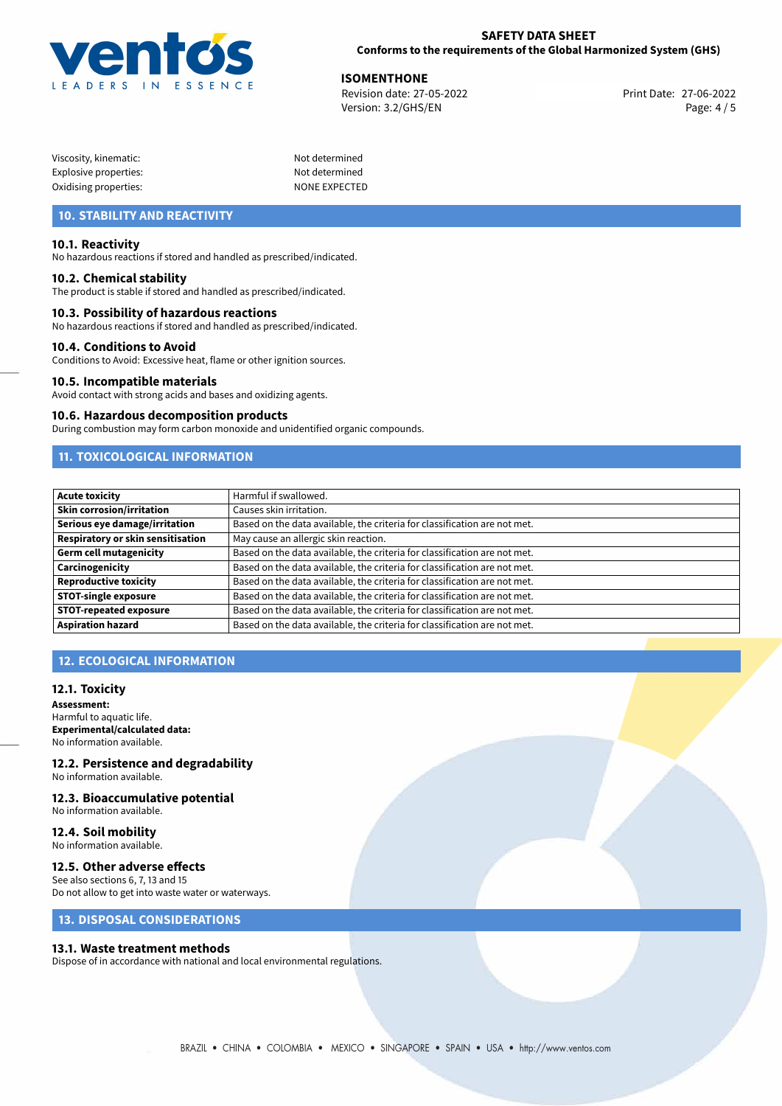

27-06-2022 **ISOMENTHONE** Revision date: 27-05-2022 Print Date: Version: 3.2/GHS/EN Page: 4 / 5

| Viscosity, kinematic: |  |
|-----------------------|--|
| Explosive properties: |  |
| Oxidising properties: |  |

Not determined Not determined NONE EXPECTED

## **10. STABILITY AND REACTIVITY**

#### **10.1. Reactivity**

No hazardous reactions if stored and handled as prescribed/indicated.

#### **10.2. Chemical stability**

The product is stable if stored and handled as prescribed/indicated.

#### **10.3. Possibility of hazardous reactions**

No hazardous reactions if stored and handled as prescribed/indicated.

#### **10.4. Conditions to Avoid**

Conditions to Avoid: Excessive heat, flame or other ignition sources.

#### **10.5. Incompatible materials**

Avoid contact with strong acids and bases and oxidizing agents.

#### **10.6. Hazardous decomposition products**

During combustion may form carbon monoxide and unidentified organic compounds.

## **11. TOXICOLOGICAL INFORMATION**

| <b>Acute toxicity</b>             | Harmful if swallowed.                                                     |
|-----------------------------------|---------------------------------------------------------------------------|
| <b>Skin corrosion/irritation</b>  | Causes skin irritation.                                                   |
| Serious eye damage/irritation     | Based on the data available, the criteria for classification are not met. |
| Respiratory or skin sensitisation | May cause an allergic skin reaction.                                      |
| Germ cell mutagenicity            | Based on the data available, the criteria for classification are not met. |
| <b>Carcinogenicity</b>            | Based on the data available, the criteria for classification are not met. |
| Reproductive toxicity             | Based on the data available, the criteria for classification are not met. |
| <b>STOT-single exposure</b>       | Based on the data available, the criteria for classification are not met. |
| <b>STOT-repeated exposure</b>     | Based on the data available, the criteria for classification are not met. |
| Aspiration hazard                 | Based on the data available, the criteria for classification are not met. |

## **12. ECOLOGICAL INFORMATION**

#### **12.1. Toxicity**

**Assessment:** Harmful to aquatic life. **Experimental/calculated data:** No information available.

#### **12.2. Persistence and degradability** No information available.

### **12.3. Bioaccumulative potential**

No information available.

#### **12.4. Soil mobility** No information available.

### **12.5. Other adverse effects**

See also sections 6, 7, 13 and 15 Do not allow to get into waste water or waterways.

## **13. DISPOSAL CONSIDERATIONS**

#### **13.1. Waste treatment methods**

Dispose of in accordance with national and local environmental regulations.